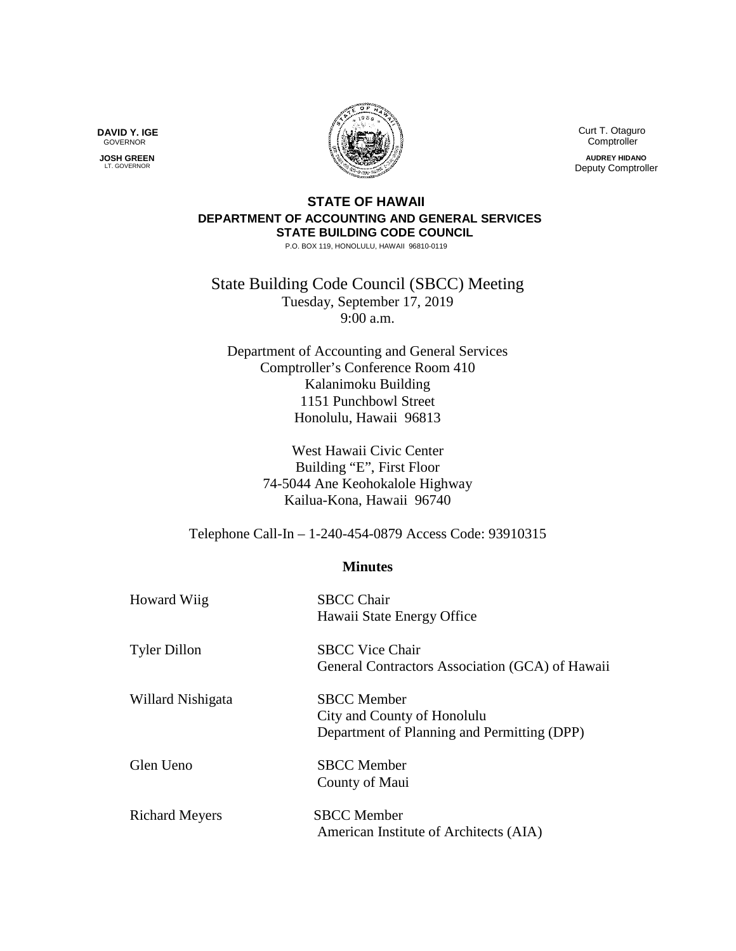Curt T. Otaguro Comptroller

**AUDREY HIDANO** Deputy Comptroller

## **STATE OF HAWAII DEPARTMENT OF ACCOUNTING AND GENERAL SERVICES STATE BUILDING CODE COUNCIL**

P.O. BOX 119, HONOLULU, HAWAII 96810-0119

State Building Code Council (SBCC) Meeting Tuesday, September 17, 2019 9:00 a.m.

Department of Accounting and General Services Comptroller's Conference Room 410 Kalanimoku Building 1151 Punchbowl Street Honolulu, Hawaii 96813

> West Hawaii Civic Center Building "E", First Floor 74-5044 Ane Keohokalole Highway Kailua-Kona, Hawaii 96740

Telephone Call-In – 1-240-454-0879 Access Code: 93910315

## **Minutes**

| <b>Howard Wiig</b>    | <b>SBCC Chair</b><br>Hawaii State Energy Office                                                  |
|-----------------------|--------------------------------------------------------------------------------------------------|
| <b>Tyler Dillon</b>   | <b>SBCC Vice Chair</b><br>General Contractors Association (GCA) of Hawaii                        |
| Willard Nishigata     | <b>SBCC</b> Member<br>City and County of Honolulu<br>Department of Planning and Permitting (DPP) |
| Glen Ueno             | <b>SBCC</b> Member<br>County of Maui                                                             |
| <b>Richard Meyers</b> | <b>SBCC</b> Member<br>American Institute of Architects (AIA)                                     |

**DAVID Y. IGE** GOVERNOR

 **JOSH GREEN** LT. GOVERNOR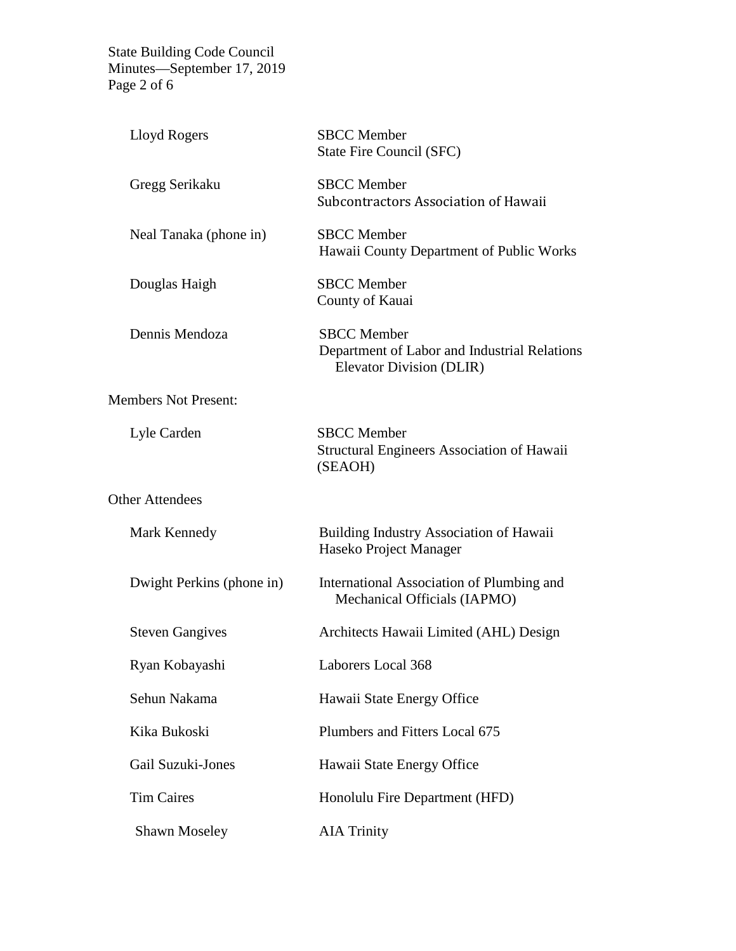State Building Code Council Minutes—September 17, 2019 Page 2 of 6

| Lloyd Rogers                | <b>SBCC</b> Member<br>State Fire Council (SFC)                                                 |
|-----------------------------|------------------------------------------------------------------------------------------------|
| Gregg Serikaku              | <b>SBCC</b> Member<br>Subcontractors Association of Hawaii                                     |
| Neal Tanaka (phone in)      | <b>SBCC</b> Member<br>Hawaii County Department of Public Works                                 |
| Douglas Haigh               | <b>SBCC</b> Member<br>County of Kauai                                                          |
| Dennis Mendoza              | <b>SBCC</b> Member<br>Department of Labor and Industrial Relations<br>Elevator Division (DLIR) |
| <b>Members Not Present:</b> |                                                                                                |
| Lyle Carden                 | <b>SBCC</b> Member<br><b>Structural Engineers Association of Hawaii</b><br>(SEAOH)             |
| <b>Other Attendees</b>      |                                                                                                |
| Mark Kennedy                | <b>Building Industry Association of Hawaii</b><br>Haseko Project Manager                       |
| Dwight Perkins (phone in)   | International Association of Plumbing and<br>Mechanical Officials (IAPMO)                      |
| <b>Steven Gangives</b>      | Architects Hawaii Limited (AHL) Design                                                         |
| Ryan Kobayashi              | Laborers Local 368                                                                             |
| Sehun Nakama                | Hawaii State Energy Office                                                                     |
| Kika Bukoski                | Plumbers and Fitters Local 675                                                                 |
| Gail Suzuki-Jones           | Hawaii State Energy Office                                                                     |
| <b>Tim Caires</b>           | Honolulu Fire Department (HFD)                                                                 |
| <b>Shawn Moseley</b>        | <b>AIA Trinity</b>                                                                             |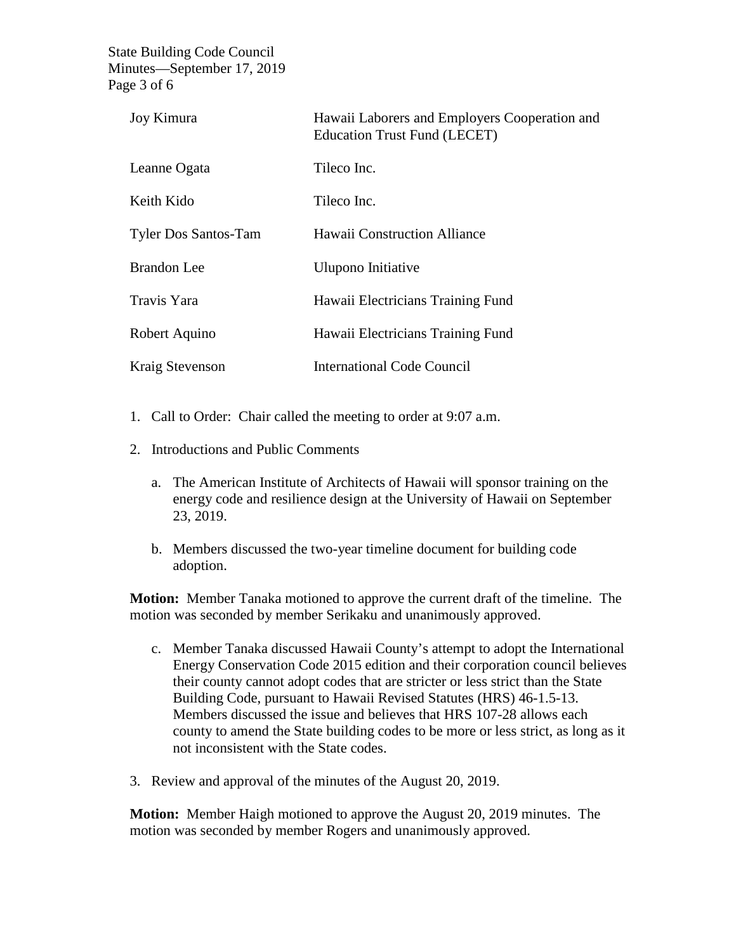State Building Code Council Minutes—September 17, 2019 Page 3 of 6

| Joy Kimura                  | Hawaii Laborers and Employers Cooperation and<br><b>Education Trust Fund (LECET)</b> |
|-----------------------------|--------------------------------------------------------------------------------------|
| Leanne Ogata                | Tileco Inc.                                                                          |
| Keith Kido                  | Tileco Inc.                                                                          |
| <b>Tyler Dos Santos-Tam</b> | Hawaii Construction Alliance                                                         |
| <b>Brandon</b> Lee          | Ulupono Initiative                                                                   |
| Travis Yara                 | Hawaii Electricians Training Fund                                                    |
| Robert Aquino               | Hawaii Electricians Training Fund                                                    |
| <b>Kraig Stevenson</b>      | International Code Council                                                           |

- 1. Call to Order: Chair called the meeting to order at 9:07 a.m.
- 2. Introductions and Public Comments
	- a. The American Institute of Architects of Hawaii will sponsor training on the energy code and resilience design at the University of Hawaii on September 23, 2019.
	- b. Members discussed the two-year timeline document for building code adoption.

**Motion:** Member Tanaka motioned to approve the current draft of the timeline. The motion was seconded by member Serikaku and unanimously approved.

- c. Member Tanaka discussed Hawaii County's attempt to adopt the International Energy Conservation Code 2015 edition and their corporation council believes their county cannot adopt codes that are stricter or less strict than the State Building Code, pursuant to Hawaii Revised Statutes (HRS) 46-1.5-13. Members discussed the issue and believes that HRS 107-28 allows each county to amend the State building codes to be more or less strict, as long as it not inconsistent with the State codes.
- 3. Review and approval of the minutes of the August 20, 2019.

**Motion:** Member Haigh motioned to approve the August 20, 2019 minutes. The motion was seconded by member Rogers and unanimously approved.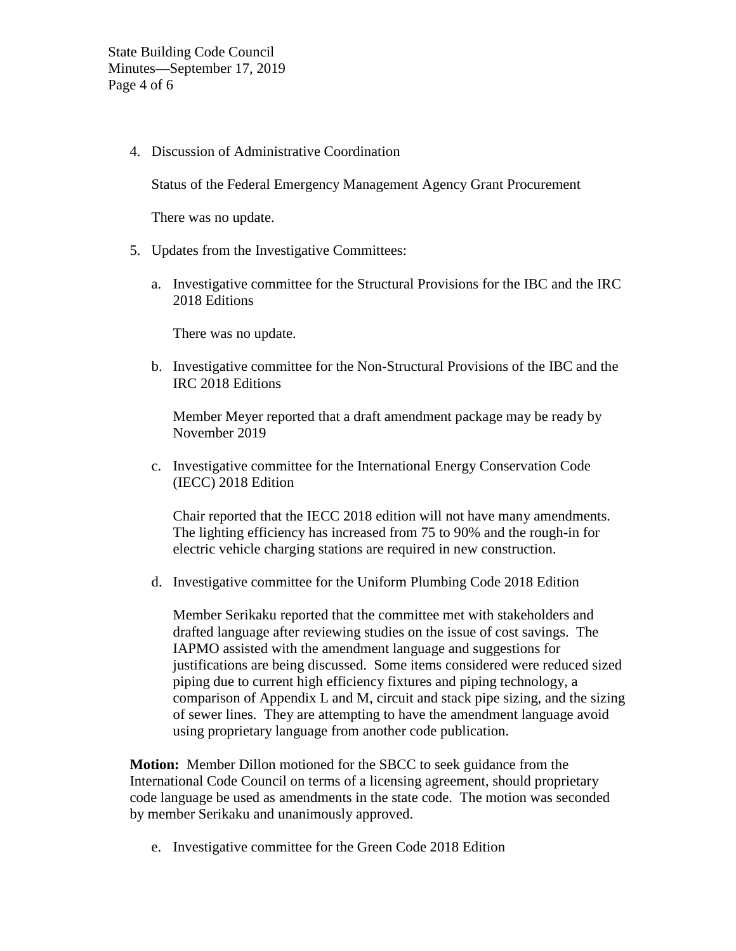4. Discussion of Administrative Coordination

Status of the Federal Emergency Management Agency Grant Procurement

There was no update.

- 5. Updates from the Investigative Committees:
	- a. Investigative committee for the Structural Provisions for the IBC and the IRC 2018 Editions

There was no update.

b. Investigative committee for the Non-Structural Provisions of the IBC and the IRC 2018 Editions

Member Meyer reported that a draft amendment package may be ready by November 2019

c. Investigative committee for the International Energy Conservation Code (IECC) 2018 Edition

Chair reported that the IECC 2018 edition will not have many amendments. The lighting efficiency has increased from 75 to 90% and the rough-in for electric vehicle charging stations are required in new construction.

d. Investigative committee for the Uniform Plumbing Code 2018 Edition

Member Serikaku reported that the committee met with stakeholders and drafted language after reviewing studies on the issue of cost savings. The IAPMO assisted with the amendment language and suggestions for justifications are being discussed. Some items considered were reduced sized piping due to current high efficiency fixtures and piping technology, a comparison of Appendix L and M, circuit and stack pipe sizing, and the sizing of sewer lines. They are attempting to have the amendment language avoid using proprietary language from another code publication.

**Motion:** Member Dillon motioned for the SBCC to seek guidance from the International Code Council on terms of a licensing agreement, should proprietary code language be used as amendments in the state code. The motion was seconded by member Serikaku and unanimously approved.

e. Investigative committee for the Green Code 2018 Edition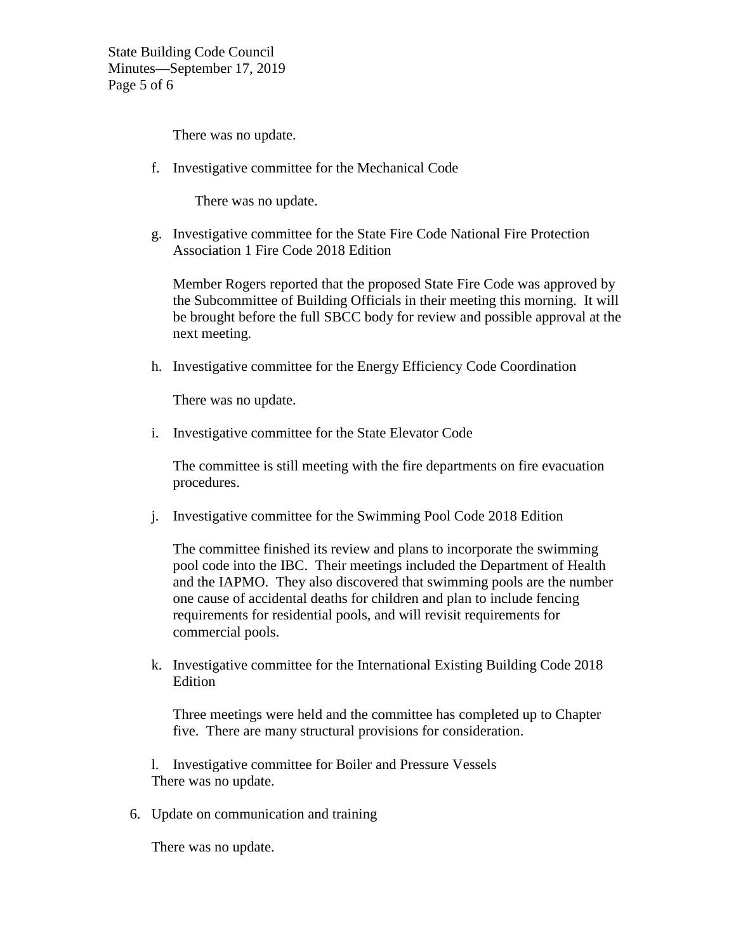State Building Code Council Minutes—September 17, 2019 Page 5 of 6

There was no update.

f. Investigative committee for the Mechanical Code

There was no update.

g. Investigative committee for the State Fire Code National Fire Protection Association 1 Fire Code 2018 Edition

Member Rogers reported that the proposed State Fire Code was approved by the Subcommittee of Building Officials in their meeting this morning. It will be brought before the full SBCC body for review and possible approval at the next meeting.

h. Investigative committee for the Energy Efficiency Code Coordination

There was no update.

i. Investigative committee for the State Elevator Code

The committee is still meeting with the fire departments on fire evacuation procedures.

j. Investigative committee for the Swimming Pool Code 2018 Edition

The committee finished its review and plans to incorporate the swimming pool code into the IBC. Their meetings included the Department of Health and the IAPMO. They also discovered that swimming pools are the number one cause of accidental deaths for children and plan to include fencing requirements for residential pools, and will revisit requirements for commercial pools.

k. Investigative committee for the International Existing Building Code 2018 Edition

Three meetings were held and the committee has completed up to Chapter five. There are many structural provisions for consideration.

l. Investigative committee for Boiler and Pressure Vessels There was no update.

6. Update on communication and training

There was no update.